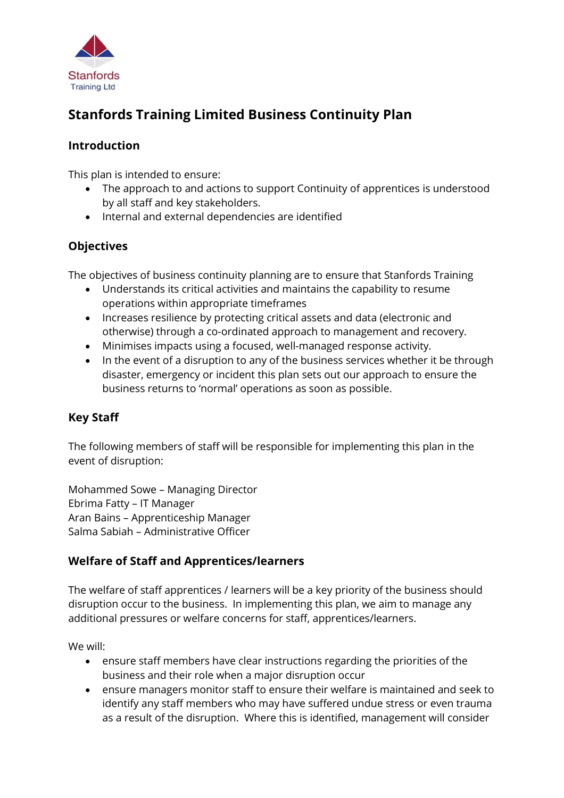

# **Stanfords Training Limited Business Continuity Plan**

# **Introduction**

This plan is intended to ensure:

- The approach to and actions to support Continuity of apprentices is understood by all staff and key stakeholders.
- Internal and external dependencies are identified

## **Objectives**

The objectives of business continuity planning are to ensure that Stanfords Training

- Understands its critical activities and maintains the capability to resume operations within appropriate timeframes
- Increases resilience by protecting critical assets and data (electronic and otherwise) through a co-ordinated approach to management and recovery.
- Minimises impacts using a focused, well-managed response activity.
- In the event of a disruption to any of the business services whether it be through disaster, emergency or incident this plan sets out our approach to ensure the business returns to 'normal' operations as soon as possible.

# **Key Staff**

The following members of staff will be responsible for implementing this plan in the event of disruption:

Mohammed Sowe – Managing Director Ebrima Fatty – IT Manager Aran Bains – Apprenticeship Manager Salma Sabiah – Administrative Officer

# **Welfare of Staff and Apprentices/learners**

The welfare of staff apprentices / learners will be a key priority of the business should disruption occur to the business. In implementing this plan, we aim to manage any additional pressures or welfare concerns for staff, apprentices/learners.

We will:

- ensure staff members have clear instructions regarding the priorities of the business and their role when a major disruption occur
- ensure managers monitor staff to ensure their welfare is maintained and seek to identify any staff members who may have suffered undue stress or even trauma as a result of the disruption. Where this is identified, management will consider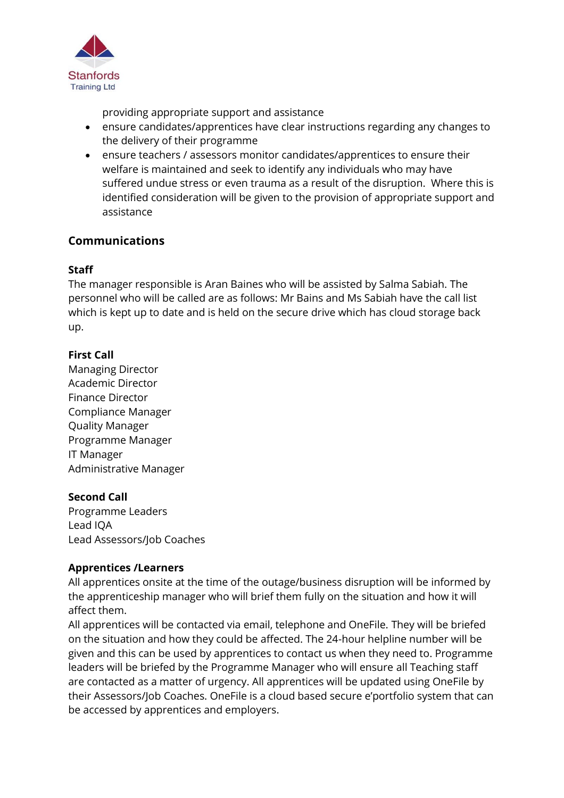

providing appropriate support and assistance

- ensure candidates/apprentices have clear instructions regarding any changes to the delivery of their programme
- ensure teachers / assessors monitor candidates/apprentices to ensure their welfare is maintained and seek to identify any individuals who may have suffered undue stress or even trauma as a result of the disruption. Where this is identified consideration will be given to the provision of appropriate support and assistance

## **Communications**

#### **Staff**

The manager responsible is Aran Baines who will be assisted by Salma Sabiah. The personnel who will be called are as follows: Mr Bains and Ms Sabiah have the call list which is kept up to date and is held on the secure drive which has cloud storage back up.

## **First Call**

Managing Director Academic Director Finance Director Compliance Manager Quality Manager Programme Manager IT Manager Administrative Manager

#### **Second Call**

Programme Leaders Lead IQA Lead Assessors/Job Coaches

#### **Apprentices /Learners**

All apprentices onsite at the time of the outage/business disruption will be informed by the apprenticeship manager who will brief them fully on the situation and how it will affect them.

All apprentices will be contacted via email, telephone and OneFile. They will be briefed on the situation and how they could be affected. The 24-hour helpline number will be given and this can be used by apprentices to contact us when they need to. Programme leaders will be briefed by the Programme Manager who will ensure all Teaching staff are contacted as a matter of urgency. All apprentices will be updated using OneFile by their Assessors/Job Coaches. OneFile is a cloud based secure e'portfolio system that can be accessed by apprentices and employers.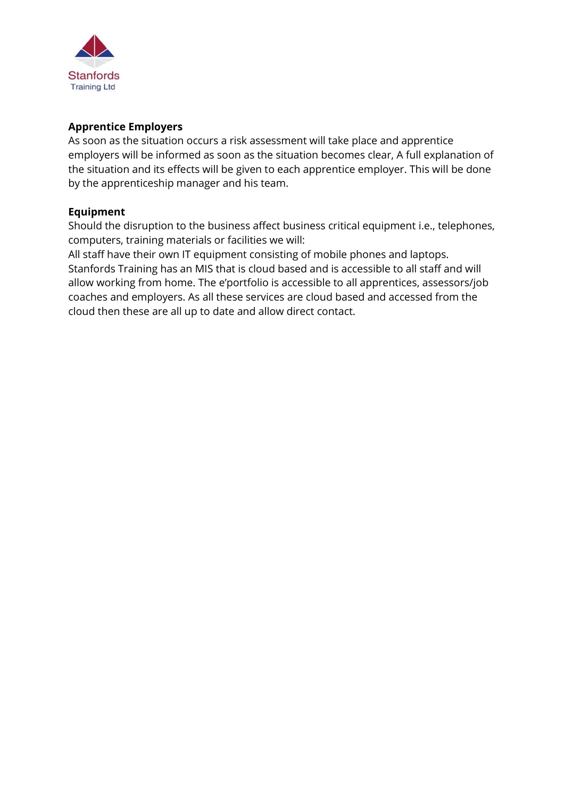

#### **Apprentice Employers**

As soon as the situation occurs a risk assessment will take place and apprentice employers will be informed as soon as the situation becomes clear, A full explanation of the situation and its effects will be given to each apprentice employer. This will be done by the apprenticeship manager and his team.

#### **Equipment**

Should the disruption to the business affect business critical equipment i.e., telephones, computers, training materials or facilities we will:

All staff have their own IT equipment consisting of mobile phones and laptops. Stanfords Training has an MIS that is cloud based and is accessible to all staff and will allow working from home. The e'portfolio is accessible to all apprentices, assessors/job coaches and employers. As all these services are cloud based and accessed from the cloud then these are all up to date and allow direct contact.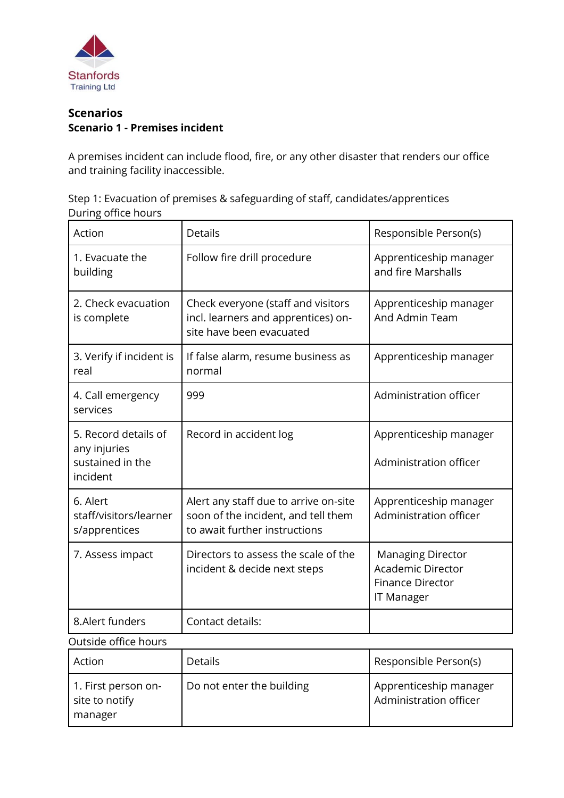

## **Scenarios Scenario 1 - Premises incident**

A premises incident can include flood, fire, or any other disaster that renders our office and training facility inaccessible.

| Step 1: Evacuation of premises & safeguarding of staff, candidates/apprentices |  |
|--------------------------------------------------------------------------------|--|
| During office hours                                                            |  |

| Action                                                               | <b>Details</b>                                                                                                | Responsible Person(s)                                                                                |
|----------------------------------------------------------------------|---------------------------------------------------------------------------------------------------------------|------------------------------------------------------------------------------------------------------|
| 1. Evacuate the<br>building                                          | Follow fire drill procedure                                                                                   | Apprenticeship manager<br>and fire Marshalls                                                         |
| 2. Check evacuation<br>is complete                                   | Check everyone (staff and visitors<br>incl. learners and apprentices) on-<br>site have been evacuated         | Apprenticeship manager<br>And Admin Team                                                             |
| 3. Verify if incident is<br>real                                     | If false alarm, resume business as<br>normal                                                                  | Apprenticeship manager                                                                               |
| 4. Call emergency<br>services                                        | 999                                                                                                           | Administration officer                                                                               |
| 5. Record details of<br>any injuries<br>sustained in the<br>incident | Record in accident log                                                                                        | Apprenticeship manager<br>Administration officer                                                     |
| 6. Alert<br>staff/visitors/learner<br>s/apprentices                  | Alert any staff due to arrive on-site<br>soon of the incident, and tell them<br>to await further instructions | Apprenticeship manager<br>Administration officer                                                     |
| 7. Assess impact                                                     | Directors to assess the scale of the<br>incident & decide next steps                                          | <b>Managing Director</b><br><b>Academic Director</b><br><b>Finance Director</b><br><b>IT Manager</b> |
| 8.Alert funders                                                      | Contact details:                                                                                              |                                                                                                      |
| Outside office hours                                                 |                                                                                                               |                                                                                                      |
| Action                                                               | Details                                                                                                       | Responsible Person(s)                                                                                |
| 1. First person on-<br>site to notify<br>manager                     | Do not enter the building                                                                                     | Apprenticeship manager<br>Administration officer                                                     |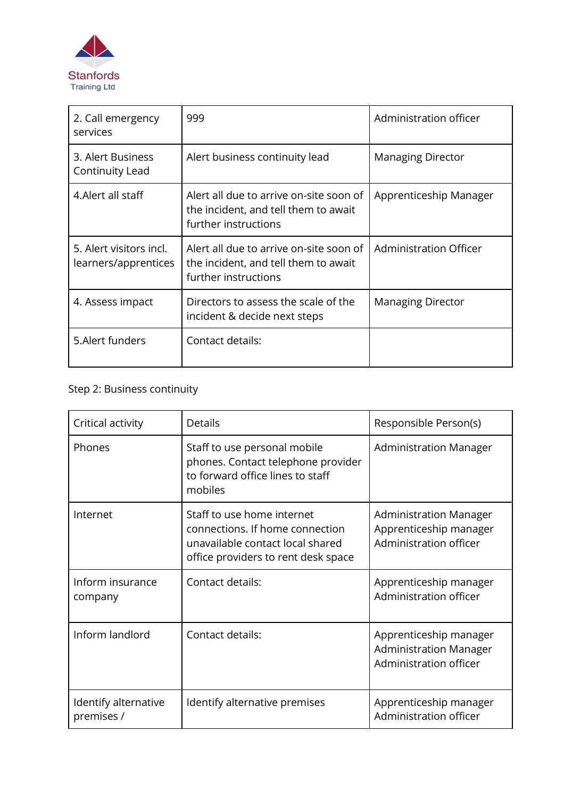

| 2. Call emergency<br>services                   | 999                                                                                                     | Administration officer   |
|-------------------------------------------------|---------------------------------------------------------------------------------------------------------|--------------------------|
| 3. Alert Business<br>Continuity Lead            | Alert business continuity lead                                                                          | <b>Managing Director</b> |
| 4. Alert all staff                              | Alert all due to arrive on-site soon of<br>the incident, and tell them to await<br>further instructions | Apprenticeship Manager   |
| 5. Alert visitors incl.<br>learners/apprentices | Alert all due to arrive on-site soon of<br>the incident, and tell them to await<br>further instructions | Administration Officer   |
| 4. Assess impact                                | Directors to assess the scale of the<br>incident & decide next steps                                    | <b>Managing Director</b> |
| 5. Alert funders                                | Contact details:                                                                                        |                          |

| Critical activity                  | <b>Details</b>                                                                                                                           | Responsible Person(s)                                                             |
|------------------------------------|------------------------------------------------------------------------------------------------------------------------------------------|-----------------------------------------------------------------------------------|
| Phones                             | Staff to use personal mobile<br>phones. Contact telephone provider<br>to forward office lines to staff<br>mobiles                        | <b>Administration Manager</b>                                                     |
| Internet                           | Staff to use home internet<br>connections. If home connection<br>unavailable contact local shared<br>office providers to rent desk space | <b>Administration Manager</b><br>Apprenticeship manager<br>Administration officer |
| Inform insurance<br>company        | Contact details:                                                                                                                         | Apprenticeship manager<br>Administration officer                                  |
| Inform landlord                    | Contact details:                                                                                                                         | Apprenticeship manager<br><b>Administration Manager</b><br>Administration officer |
| Identify alternative<br>premises / | Identify alternative premises                                                                                                            | Apprenticeship manager<br>Administration officer                                  |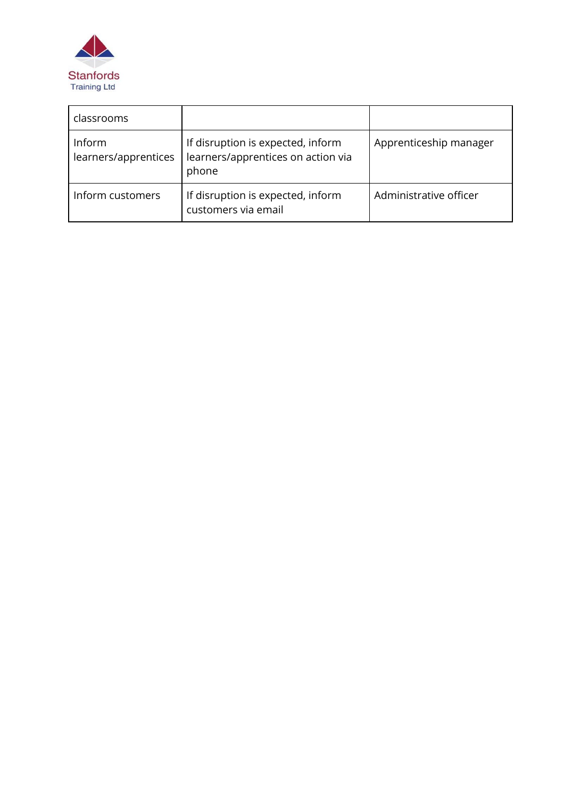

| classrooms                     |                                                                                  |                        |
|--------------------------------|----------------------------------------------------------------------------------|------------------------|
| Inform<br>learners/apprentices | If disruption is expected, inform<br>learners/apprentices on action via<br>phone | Apprenticeship manager |
| Inform customers               | If disruption is expected, inform<br>customers via email                         | Administrative officer |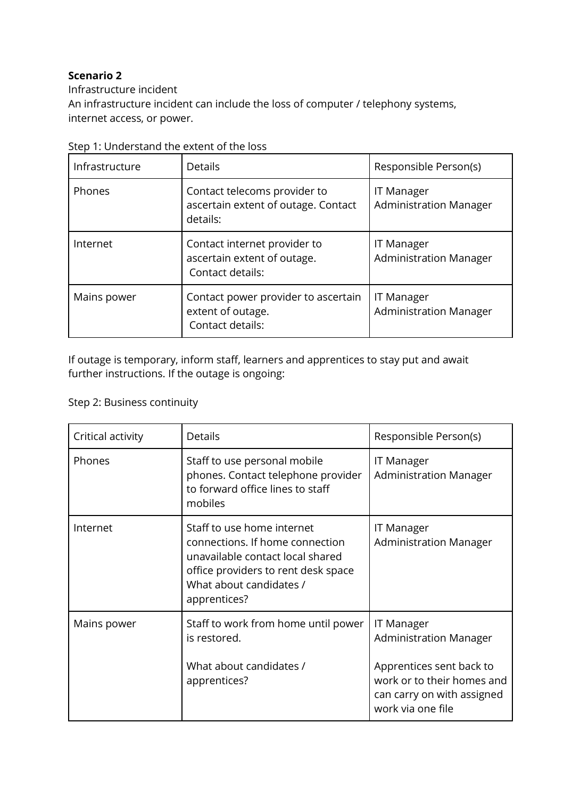Infrastructure incident An infrastructure incident can include the loss of computer / telephony systems, internet access, or power.

| Infrastructure | <b>Details</b>                                                                  | Responsible Person(s)                              |
|----------------|---------------------------------------------------------------------------------|----------------------------------------------------|
| Phones         | Contact telecoms provider to<br>ascertain extent of outage. Contact<br>details: | <b>IT Manager</b><br><b>Administration Manager</b> |
| Internet       | Contact internet provider to<br>ascertain extent of outage.<br>Contact details: | <b>IT Manager</b><br><b>Administration Manager</b> |
| Mains power    | Contact power provider to ascertain<br>extent of outage.<br>Contact details:    | <b>IT Manager</b><br><b>Administration Manager</b> |

|  | Step 1: Understand the extent of the loss |  |  |
|--|-------------------------------------------|--|--|
|--|-------------------------------------------|--|--|

If outage is temporary, inform staff, learners and apprentices to stay put and await further instructions. If the outage is ongoing:

| Critical activity | Details                                                                                                                                                                             | Responsible Person(s)                                                                                                                                           |
|-------------------|-------------------------------------------------------------------------------------------------------------------------------------------------------------------------------------|-----------------------------------------------------------------------------------------------------------------------------------------------------------------|
| Phones            | Staff to use personal mobile<br>phones. Contact telephone provider<br>to forward office lines to staff<br>mobiles                                                                   | <b>IT Manager</b><br><b>Administration Manager</b>                                                                                                              |
| Internet          | Staff to use home internet<br>connections. If home connection<br>unavailable contact local shared<br>office providers to rent desk space<br>What about candidates /<br>apprentices? | <b>IT Manager</b><br><b>Administration Manager</b>                                                                                                              |
| Mains power       | Staff to work from home until power<br>is restored.<br>What about candidates /<br>apprentices?                                                                                      | <b>IT Manager</b><br><b>Administration Manager</b><br>Apprentices sent back to<br>work or to their homes and<br>can carry on with assigned<br>work via one file |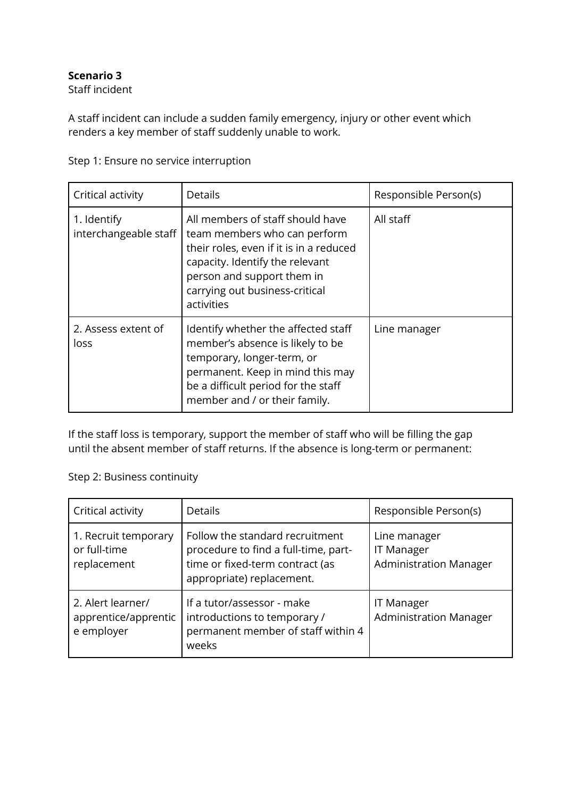Staff incident

A staff incident can include a sudden family emergency, injury or other event which renders a key member of staff suddenly unable to work.

| Critical activity                    | <b>Details</b>                                                                                                                                                                                                               | Responsible Person(s) |
|--------------------------------------|------------------------------------------------------------------------------------------------------------------------------------------------------------------------------------------------------------------------------|-----------------------|
| 1. Identify<br>interchangeable staff | All members of staff should have<br>team members who can perform<br>their roles, even if it is in a reduced<br>capacity. Identify the relevant<br>person and support them in<br>carrying out business-critical<br>activities | All staff             |
| 2. Assess extent of<br>loss          | Identify whether the affected staff<br>member's absence is likely to be<br>temporary, longer-term, or<br>permanent. Keep in mind this may<br>be a difficult period for the staff<br>member and / or their family.            | Line manager          |

Step 1: Ensure no service interruption

If the staff loss is temporary, support the member of staff who will be filling the gap until the absent member of staff returns. If the absence is long-term or permanent:

| Critical activity                                       | <b>Details</b>                                                                                                                          | Responsible Person(s)                                              |
|---------------------------------------------------------|-----------------------------------------------------------------------------------------------------------------------------------------|--------------------------------------------------------------------|
| 1. Recruit temporary<br>or full-time<br>replacement     | Follow the standard recruitment<br>procedure to find a full-time, part-<br>time or fixed-term contract (as<br>appropriate) replacement. | Line manager<br><b>IT Manager</b><br><b>Administration Manager</b> |
| 2. Alert learner/<br>apprentice/apprentic<br>e employer | If a tutor/assessor - make<br>introductions to temporary /<br>permanent member of staff within 4<br>weeks                               | IT Manager<br><b>Administration Manager</b>                        |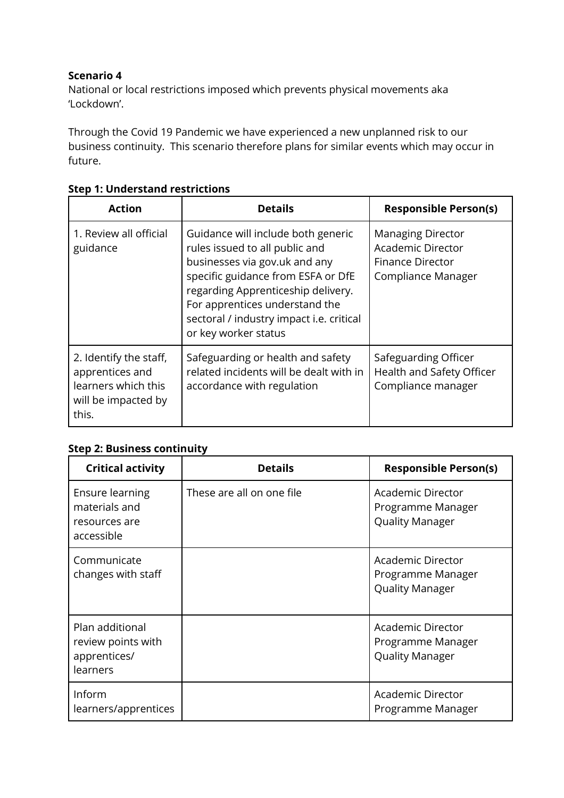National or local restrictions imposed which prevents physical movements aka 'Lockdown'.

Through the Covid 19 Pandemic we have experienced a new unplanned risk to our business continuity. This scenario therefore plans for similar events which may occur in future.

| <b>Action</b>                                                                                    | <b>Details</b>                                                                                                                                                                                                                                                                          | <b>Responsible Person(s)</b>                                                                          |
|--------------------------------------------------------------------------------------------------|-----------------------------------------------------------------------------------------------------------------------------------------------------------------------------------------------------------------------------------------------------------------------------------------|-------------------------------------------------------------------------------------------------------|
| 1. Review all official<br>guidance                                                               | Guidance will include both generic<br>rules issued to all public and<br>businesses via gov.uk and any<br>specific guidance from ESFA or DfE<br>regarding Apprenticeship delivery.<br>For apprentices understand the<br>sectoral / industry impact i.e. critical<br>or key worker status | <b>Managing Director</b><br><b>Academic Director</b><br><b>Finance Director</b><br>Compliance Manager |
| 2. Identify the staff,<br>apprentices and<br>learners which this<br>will be impacted by<br>this. | Safeguarding or health and safety<br>related incidents will be dealt with in<br>accordance with regulation                                                                                                                                                                              | Safeguarding Officer<br>Health and Safety Officer<br>Compliance manager                               |

## **Step 1: Understand restrictions**

| <b>Critical activity</b>                                               | <b>Details</b>            | <b>Responsible Person(s)</b>                                            |
|------------------------------------------------------------------------|---------------------------|-------------------------------------------------------------------------|
| <b>Ensure learning</b><br>materials and<br>resources are<br>accessible | These are all on one file | Academic Director<br>Programme Manager<br><b>Quality Manager</b>        |
| Communicate<br>changes with staff                                      |                           | Academic Director<br>Programme Manager<br><b>Quality Manager</b>        |
| Plan additional<br>review points with<br>apprentices/<br>learners      |                           | <b>Academic Director</b><br>Programme Manager<br><b>Quality Manager</b> |
| Inform<br>learners/apprentices                                         |                           | Academic Director<br>Programme Manager                                  |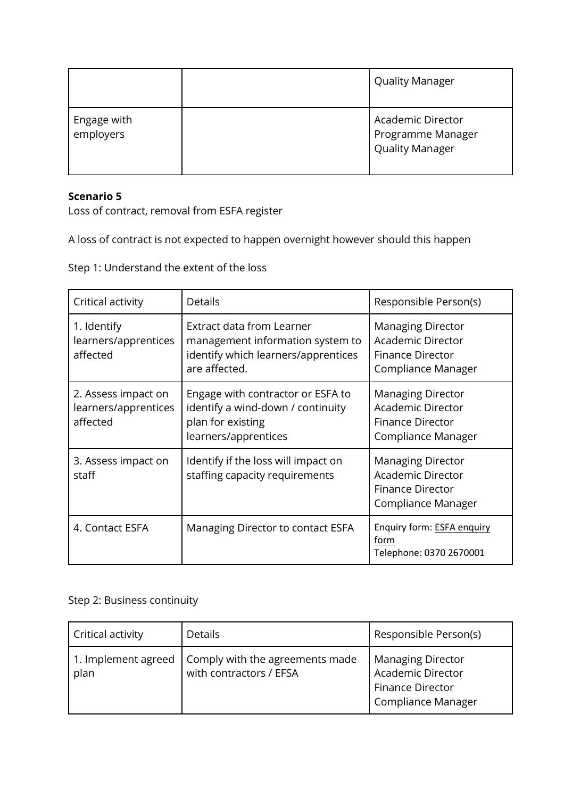|                          | <b>Quality Manager</b>                                           |
|--------------------------|------------------------------------------------------------------|
| Engage with<br>employers | Academic Director<br>Programme Manager<br><b>Quality Manager</b> |

Loss of contract, removal from ESFA register

A loss of contract is not expected to happen overnight however should this happen

Step 1: Understand the extent of the loss

| Critical activity                                       | Details                                                                                                               | Responsible Person(s)                                                                                 |
|---------------------------------------------------------|-----------------------------------------------------------------------------------------------------------------------|-------------------------------------------------------------------------------------------------------|
| 1. Identify<br>learners/apprentices<br>affected         | Extract data from Learner<br>management information system to<br>identify which learners/apprentices<br>are affected. | <b>Managing Director</b><br><b>Academic Director</b><br><b>Finance Director</b><br>Compliance Manager |
| 2. Assess impact on<br>learners/apprentices<br>affected | Engage with contractor or ESFA to<br>identify a wind-down / continuity<br>plan for existing<br>learners/apprentices   | <b>Managing Director</b><br><b>Academic Director</b><br><b>Finance Director</b><br>Compliance Manager |
| 3. Assess impact on<br>staff                            | Identify if the loss will impact on<br>staffing capacity requirements                                                 | <b>Managing Director</b><br><b>Academic Director</b><br>Finance Director<br>Compliance Manager        |
| 4. Contact ESFA                                         | Managing Director to contact ESFA                                                                                     | Enquiry form: <b>ESFA enquiry</b><br>f <u>orm</u><br>Telephone: 0370 2670001                          |

| <b>Critical activity</b>    | <b>Details</b>                                             | Responsible Person(s)                                                                   |
|-----------------------------|------------------------------------------------------------|-----------------------------------------------------------------------------------------|
| 1. Implement agreed<br>plan | Comply with the agreements made<br>with contractors / EFSA | <b>Managing Director</b><br>Academic Director<br>Finance Director<br>Compliance Manager |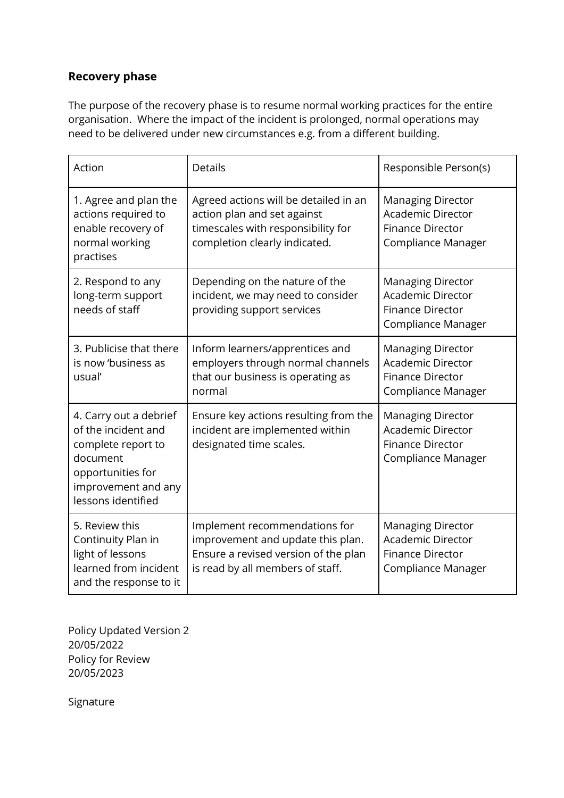## **Recovery phase**

The purpose of the recovery phase is to resume normal working practices for the entire organisation. Where the impact of the incident is prolonged, normal operations may need to be delivered under new circumstances e.g. from a different building.

| Action                                                                                                                                            | Details                                                                                                                                        | Responsible Person(s)                                                                                 |
|---------------------------------------------------------------------------------------------------------------------------------------------------|------------------------------------------------------------------------------------------------------------------------------------------------|-------------------------------------------------------------------------------------------------------|
| 1. Agree and plan the<br>actions required to<br>enable recovery of<br>normal working<br>practises                                                 | Agreed actions will be detailed in an<br>action plan and set against<br>timescales with responsibility for<br>completion clearly indicated.    | <b>Managing Director</b><br><b>Academic Director</b><br><b>Finance Director</b><br>Compliance Manager |
| 2. Respond to any<br>long-term support<br>needs of staff                                                                                          | Depending on the nature of the<br>incident, we may need to consider<br>providing support services                                              | <b>Managing Director</b><br><b>Academic Director</b><br><b>Finance Director</b><br>Compliance Manager |
| 3. Publicise that there<br>is now 'business as<br>usual'                                                                                          | Inform learners/apprentices and<br>employers through normal channels<br>that our business is operating as<br>normal                            | <b>Managing Director</b><br><b>Academic Director</b><br><b>Finance Director</b><br>Compliance Manager |
| 4. Carry out a debrief<br>of the incident and<br>complete report to<br>document<br>opportunities for<br>improvement and any<br>lessons identified | Ensure key actions resulting from the<br>incident are implemented within<br>designated time scales.                                            | <b>Managing Director</b><br><b>Academic Director</b><br><b>Finance Director</b><br>Compliance Manager |
| 5. Review this<br>Continuity Plan in<br>light of lessons<br>learned from incident<br>and the response to it                                       | Implement recommendations for<br>improvement and update this plan.<br>Ensure a revised version of the plan<br>is read by all members of staff. | <b>Managing Director</b><br><b>Academic Director</b><br><b>Finance Director</b><br>Compliance Manager |

Policy Updated Version 2 20/05/2022 Policy for Review 20/05/2023

Signature